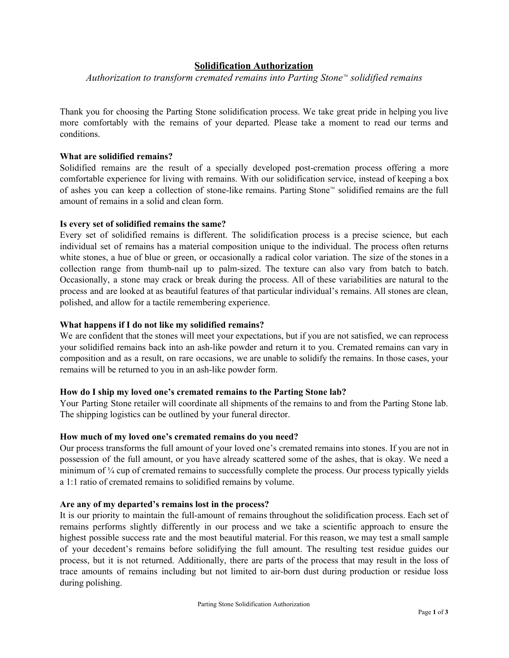# **Solidification Authorization**

*Authorization to transform cremated remains into Parting Stone™ solidified remains*

Thank you for choosing the Parting Stone solidification process. We take great pride in helping you live more comfortably with the remains of your departed. Please take a moment to read our terms and conditions.

# **What are solidified remains?**

Solidified remains are the result of a specially developed post-cremation process offering a more comfortable experience for living with remains. With our solidification service, instead of keeping a box of ashes you can keep a collection of stone-like remains. Parting Stone™ solidified remains are the full amount of remains in a solid and clean form.

### **Is every set of solidified remains the same?**

Every set of solidified remains is different. The solidification process is a precise science, but each individual set of remains has a material composition unique to the individual. The process often returns white stones, a hue of blue or green, or occasionally a radical color variation. The size of the stones in a collection range from thumb-nail up to palm-sized. The texture can also vary from batch to batch. Occasionally, a stone may crack or break during the process. All of these variabilities are natural to the process and are looked at as beautiful features of that particular individual's remains. All stones are clean, polished, and allow for a tactile remembering experience.

# **What happens if I do not like my solidified remains?**

We are confident that the stones will meet your expectations, but if you are not satisfied, we can reprocess your solidified remains back into an ash-like powder and return it to you. Cremated remains can vary in composition and as a result, on rare occasions, we are unable to solidify the remains. In those cases, your remains will be returned to you in an ash-like powder form.

#### **How do I ship my loved one's cremated remains to the Parting Stone lab?**

Your Parting Stone retailer will coordinate all shipments of the remains to and from the Parting Stone lab. The shipping logistics can be outlined by your funeral director.

#### **How much of my loved one's cremated remains do you need?**

Our process transforms the full amount of your loved one's cremated remains into stones. If you are not in possession of the full amount, or you have already scattered some of the ashes, that is okay. We need a minimum of ¼ cup of cremated remains to successfully complete the process. Our process typically yields a 1:1 ratio of cremated remains to solidified remains by volume.

#### **Are any of my departed's remains lost in the process?**

It is our priority to maintain the full-amount of remains throughout the solidification process. Each set of remains performs slightly differently in our process and we take a scientific approach to ensure the highest possible success rate and the most beautiful material. For this reason, we may test a small sample of your decedent's remains before solidifying the full amount. The resulting test residue guides our process, but it is not returned. Additionally, there are parts of the process that may result in the loss of trace amounts of remains including but not limited to air-born dust during production or residue loss during polishing.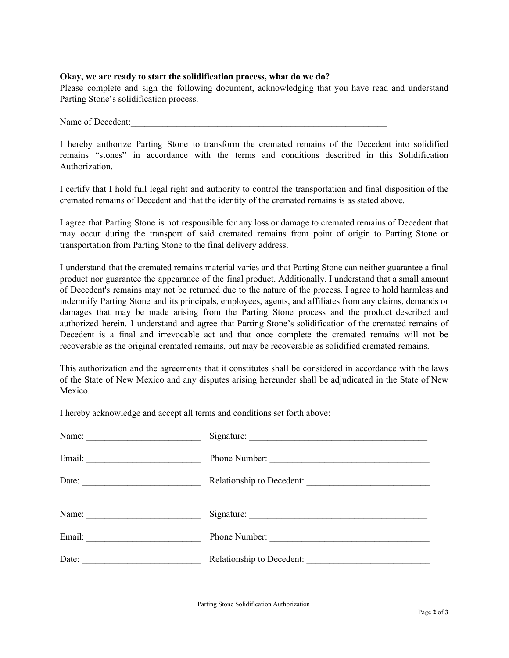### **Okay, we are ready to start the solidification process, what do we do?**

Please complete and sign the following document, acknowledging that you have read and understand Parting Stone's solidification process.

Name of Decedent:

I hereby authorize Parting Stone to transform the cremated remains of the Decedent into solidified remains "stones" in accordance with the terms and conditions described in this Solidification Authorization.

I certify that I hold full legal right and authority to control the transportation and final disposition of the cremated remains of Decedent and that the identity of the cremated remains is as stated above.

I agree that Parting Stone is not responsible for any loss or damage to cremated remains of Decedent that may occur during the transport of said cremated remains from point of origin to Parting Stone or transportation from Parting Stone to the final delivery address.

I understand that the cremated remains material varies and that Parting Stone can neither guarantee a final product nor guarantee the appearance of the final product. Additionally, I understand that a small amount of Decedent's remains may not be returned due to the nature of the process. I agree to hold harmless and indemnify Parting Stone and its principals, employees, agents, and affiliates from any claims, demands or damages that may be made arising from the Parting Stone process and the product described and authorized herein. I understand and agree that Parting Stone's solidification of the cremated remains of Decedent is a final and irrevocable act and that once complete the cremated remains will not be recoverable as the original cremated remains, but may be recoverable as solidified cremated remains.

This authorization and the agreements that it constitutes shall be considered in accordance with the laws of the State of New Mexico and any disputes arising hereunder shall be adjudicated in the State of New Mexico.

I hereby acknowledge and accept all terms and conditions set forth above:

| Email:                        | Phone Number:             |
|-------------------------------|---------------------------|
| Date: $\qquad \qquad$         | Relationship to Decedent: |
| Name: $\qquad \qquad$         |                           |
| Email: <u>_______________</u> | Phone Number:             |
| Date:                         | Relationship to Decedent: |